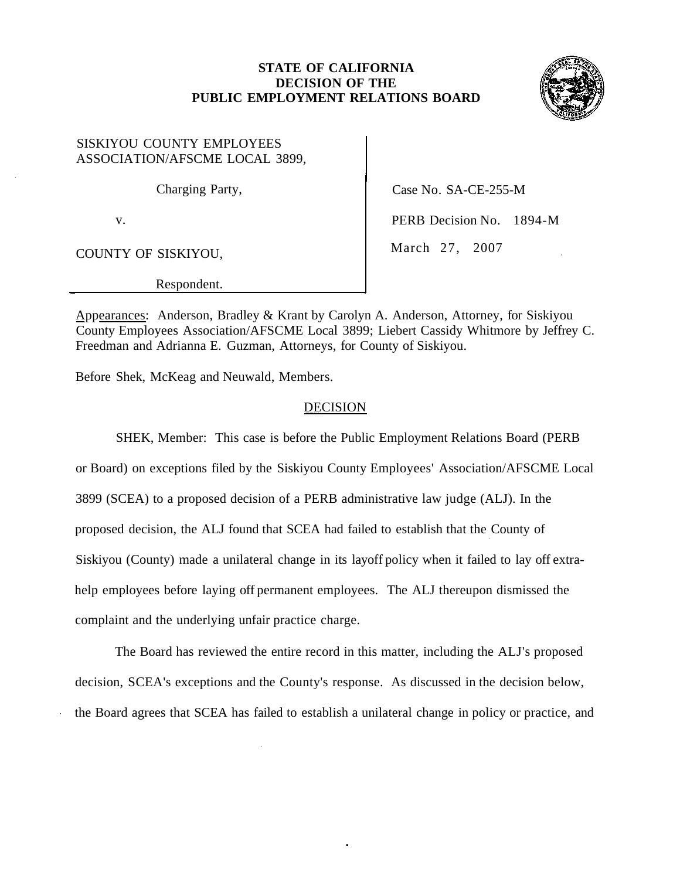### **STATE OF CALIFORNIA DECISION OF THE PUBLIC EMPLOYMENT RELATIONS BOARD**



SISKIYOU COUNTY EMPLOYEES ASSOCIATION/AFSCME LOCAL 3899,

COUNTY OF SISKIYOU, March 27, 2007

Respondent.

Charging Party, Case No. SA-CE-255-M

v. **PERB Decision No. 1894-M** 

Appearances: Anderson, Bradley & Krant by Carolyn A. Anderson, Attorney, for Siskiyou County Employees Association/AFSCME Local 3899; Liebert Cassidy Whitmore by Jeffrey C. Freedman and Adrianna E. Guzman, Attorneys, for County of Siskiyou.

Before Shek, McKeag and Neuwald, Members.

## **DECISION**

SHEK, Member: This case is before the Public Employment Relations Board (PERB or Board) on exceptions filed by the Siskiyou County Employees' Association/AFSCME Local 3899 (SCEA) to a proposed decision of a PERB administrative law judge (ALJ). In the proposed decision, the ALJ found that SCEA had failed to establish that the County of Siskiyou (County) made a unilateral change in its layoff policy when it failed to lay off extrahelp employees before laying off permanent employees. The ALJ thereupon dismissed the complaint and the underlying unfair practice charge.

The Board has reviewed the entire record in this matter, including the ALJ's proposed decision, SCEA's exceptions and the County's response. As discussed in the decision below, the Board agrees that SCEA has failed to establish a unilateral change in policy or practice, and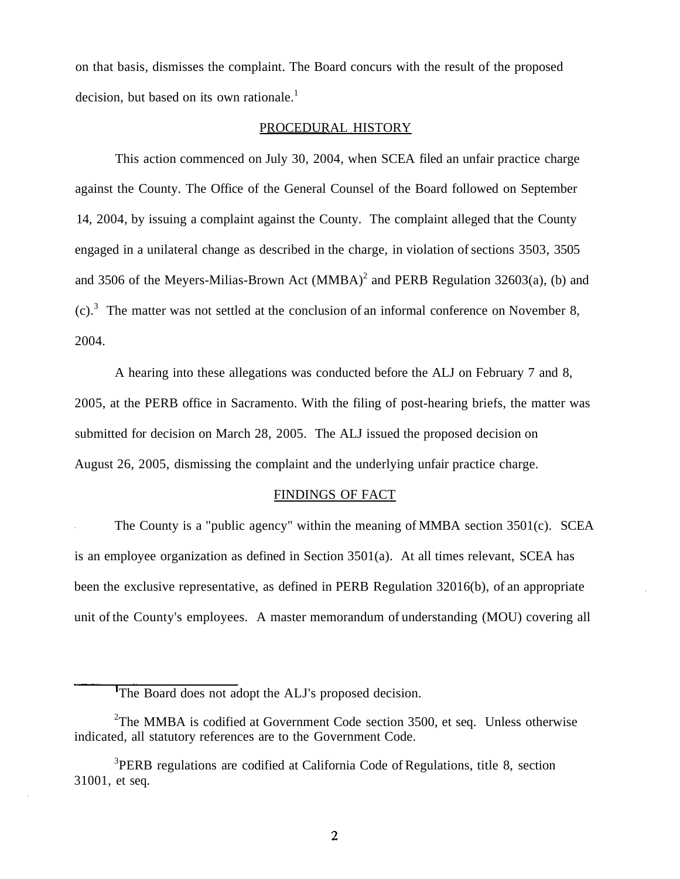on that basis, dismisses the complaint. The Board concurs with the result of the proposed decision, but based on its own rationale.<sup>1</sup>

### PROCEDURAL HISTORY

This action commenced on July 30, 2004, when SCEA filed an unfair practice charge against the County. The Office of the General Counsel of the Board followed on September 14, 2004, by issuing a complaint against the County. The complaint alleged that the County engaged in a unilateral change as described in the charge, in violation of sections 3503, 3505 and 3506 of the Meyers-Milias-Brown Act  $(MMBA)^2$  and PERB Regulation 32603(a), (b) and  $(c)$ .<sup>3</sup> The matter was not settled at the conclusion of an informal conference on November 8, 2004.

A hearing into these allegations was conducted before the ALJ on February 7 and 8, 2005, at the PERB office in Sacramento. With the filing of post-hearing briefs, the matter was submitted for decision on March 28, 2005. The ALJ issued the proposed decision on August 26, 2005, dismissing the complaint and the underlying unfair practice charge.

#### FINDINGS OF FACT

The County is a "public agency" within the meaning of MMBA section 3501(c). SCEA is an employee organization as defined in Section  $3501(a)$ . At all times relevant, SCEA has been the exclusive representative, as defined in PERB Regulation 32016(b), of an appropriate unit of the County's employees. A master memorandum of understanding (MOU) covering all

The Board does not adopt the ALJ's proposed decision.

<sup>&</sup>lt;sup>2</sup>The MMBA is codified at Government Code section 3500, et seq. Unless otherwise indicated, all statutory references are to the Government Code.

<sup>&</sup>lt;sup>3</sup>PERB regulations are codified at California Code of Regulations, title 8, section 31001, et seq.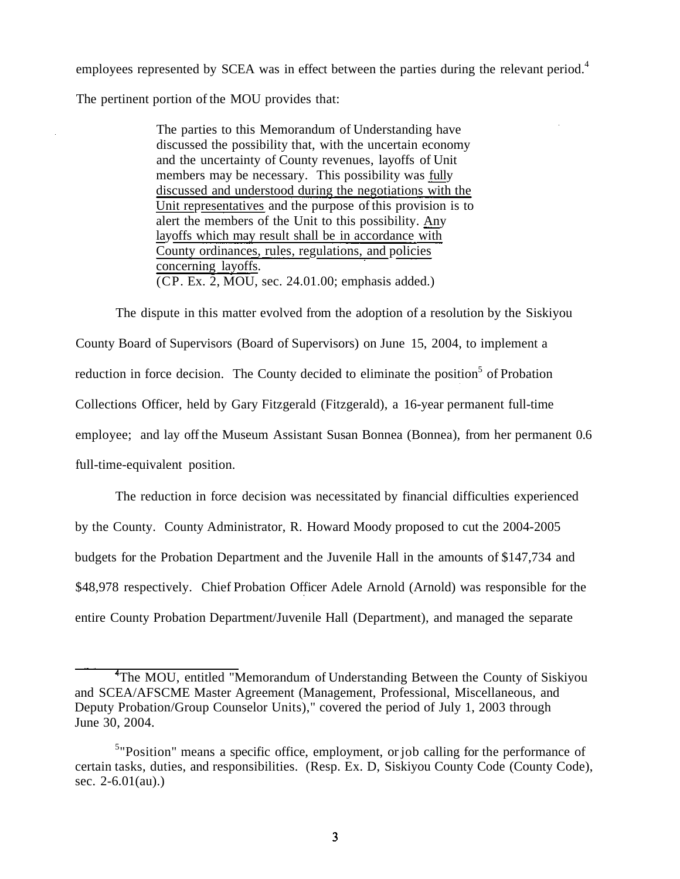employees represented by SCEA was in effect between the parties during the relevant period.<sup>4</sup>

The pertinent portion of the MOU provides that:

The parties to this Memorandum of Understanding have discussed the possibility that, with the uncertain economy and the uncertainty of County revenues, layoffs of Unit members may be necessary. This possibility was fully discussed and understood during the negotiations with the Unit representatives and the purpose of this provision is to alert the members of the Unit to this possibility. Any layoffs which may result shall be in accordance with County ordinances, rules, regulations, and policies concerning layoffs. (CP. Ex. 2, MOU, sec. [24.01.00;](https://24.01.00) emphasis added.)

The dispute in this matter evolved from the adoption of a resolution by the Siskiyou County Board of Supervisors (Board of Supervisors) on June 15, 2004, to implement a reduction in force decision. The County decided to eliminate the position<sup>5</sup> of Probation Collections Officer, held by Gary Fitzgerald (Fitzgerald), a 16-year permanent full-time employee; and lay off the Museum Assistant Susan Bonnea (Bonnea), from her permanent 0.6 full-time-equivalent position.

The reduction in force decision was necessitated by financial difficulties experienced by the County. County Administrator, R. Howard Moody proposed to cut the 2004-2005 budgets for the Probation Department and the Juvenile Hall in the amounts of \$147,734 and \$48,978 respectively. Chief Probation Officer Adele Arnold (Arnold) was responsible for the entire County Probation Department/Juvenile Hall (Department), and managed the separate

<sup>&</sup>lt;sup>4</sup>The MOU, entitled "Memorandum of Understanding Between the County of Siskiyou and SCEA/AFSCME Master Agreement (Management, Professional, Miscellaneous, and Deputy Probation/Group Counselor Units)," covered the period of July 1, 2003 through June 30, 2004.

<sup>&</sup>lt;sup>5</sup>"Position" means a specific office, employment, or job calling for the performance of certain tasks, duties, and responsibilities. (Resp. Ex. D, Siskiyou County Code (County Code), sec. 2-6.01(au).)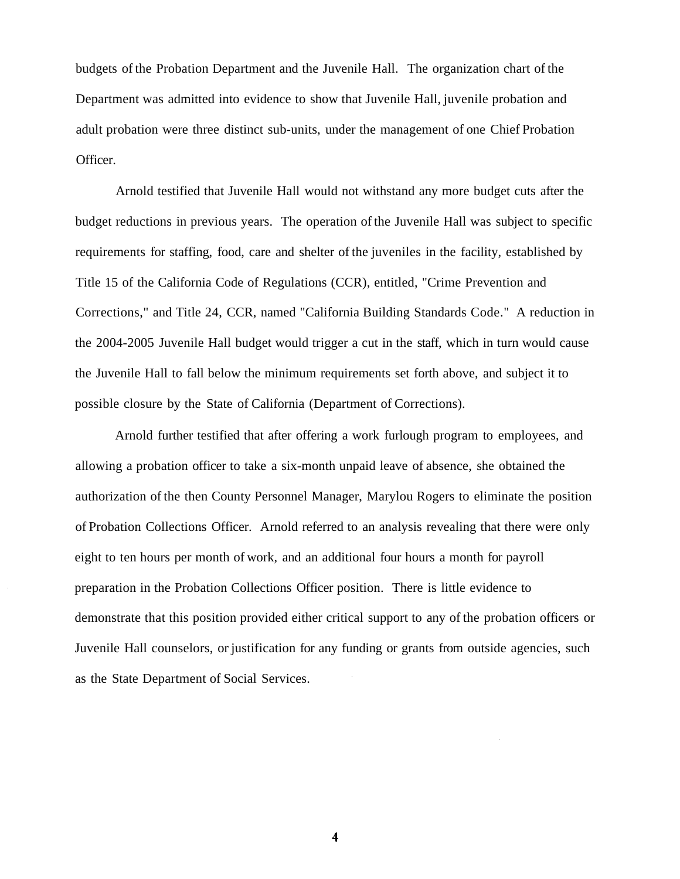budgets of the Probation Department and the Juvenile Hall. The organization chart of the Department was admitted into evidence to show that Juvenile Hall, juvenile probation and adult probation were three distinct sub-units, under the management of one Chief Probation Officer.

Arnold testified that Juvenile Hall would not withstand any more budget cuts after the budget reductions in previous years. The operation of the Juvenile Hall was subject to specific requirements for staffing, food, care and shelter of the juveniles in the facility, established by Title 15 of the California Code of Regulations (CCR), entitled, "Crime Prevention and Corrections," and Title 24, CCR, named "California Building Standards Code." A reduction in the 2004-2005 Juvenile Hall budget would trigger a cut in the staff, which in turn would cause the Juvenile Hall to fall below the minimum requirements set forth above, and subject it to possible closure by the State of California (Department of Corrections).

Arnold further testified that after offering a work furlough program to employees, and allowing a probation officer to take a six-month unpaid leave of absence, she obtained the authorization of the then County Personnel Manager, Marylou Rogers to eliminate the position of Probation Collections Officer. Arnold referred to an analysis revealing that there were only eight to ten hours per month of work, and an additional four hours a month for payroll preparation in the Probation Collections Officer position. There is little evidence to demonstrate that this position provided either critical support to any of the probation officers or Juvenile Hall counselors, or justification for any funding or grants from outside agencies, such as the State Department of Social Services.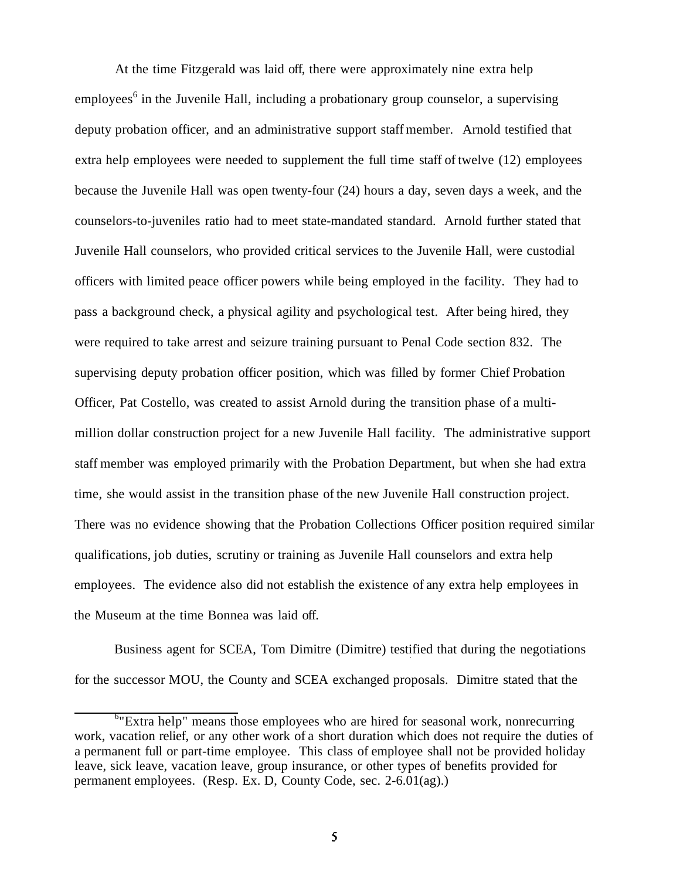At the time Fitzgerald was laid off, there were approximately nine extra help employees<sup>6</sup> in the Juvenile Hall, including a probationary group counselor, a supervising deputy probation officer, and an administrative support staff member. Arnold testified that extra help employees were needed to supplement the full time staff of twelve (12) employees because the Juvenile Hall was open twenty-four (24) hours a day, seven days a week, and the counselors-to-juveniles ratio had to meet state-mandated standard. Arnold further stated that Juvenile Hall counselors, who provided critical services to the Juvenile Hall, were custodial officers with limited peace officer powers while being employed in the facility. They had to pass a background check, a physical agility and psychological test. After being hired, they were required to take arrest and seizure training pursuant to Penal Code section 832. The supervising deputy probation officer position, which was filled by former Chief Probation Officer, Pat Costello, was created to assist Arnold during the transition phase of a multimillion dollar construction project for a new Juvenile Hall facility. The administrative support staff member was employed primarily with the Probation Department, but when she had extra time, she would assist in the transition phase of the new Juvenile Hall construction project. There was no evidence showing that the Probation Collections Officer position required similar qualifications, job duties, scrutiny or training as Juvenile Hall counselors and extra help employees. The evidence also did not establish the existence of any extra help employees in the Museum at the time Bonnea was laid off.

Business agent for SCEA, Tom Dimitre (Dimitre) testified that during the negotiations for the successor MOU, the County and SCEA exchanged proposals. Dimitre stated that the

<sup>&</sup>lt;sup>6</sup>"Extra help" means those employees who are hired for seasonal work, nonrecurring work, vacation relief, or any other work of a short duration which does not require the duties of a permanent full or part-time employee. This class of employee shall not be provided holiday leave, sick leave, vacation leave, group insurance, or other types of benefits provided for permanent employees. (Resp. Ex. D, County Code, sec. 2-6.01(ag).)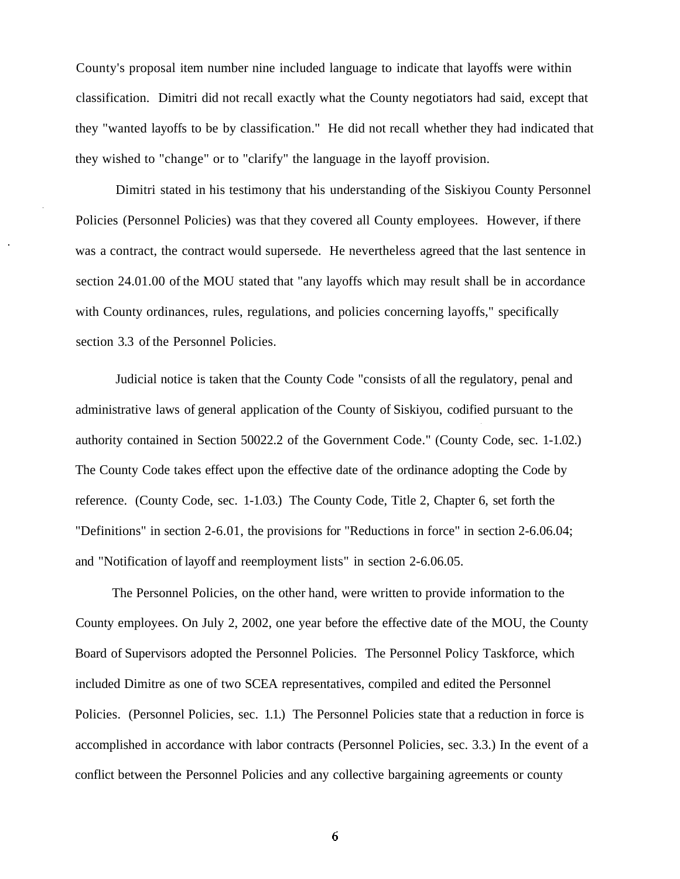County's proposal item number nine included language to indicate that layoffs were within classification. Dimitri did not recall exactly what the County negotiators had said, except that they "wanted layoffs to be by classification." He did not recall whether they had indicated that they wished to "change" or to "clarify" the language in the layoff provision.

Dimitri stated in his testimony that his understanding of the Siskiyou County Personnel Policies (Personnel Policies) was that they covered all County employees. However, if there was a contract, the contract would supersede. He nevertheless agreed that the last sentence in section [24.01.00](https://24.01.00) of the MOU stated that "any layoffs which may result shall be in accordance with County ordinances, rules, regulations, and policies concerning layoffs," specifically section 3.3 of the Personnel Policies.

Judicial notice is taken that the County Code "consists of all the regulatory, penal and administrative laws of general application of the County of Siskiyou, codified pursuant to the authority contained in Section 50022.2 of the Government Code." (County Code, sec. 1-1.02.) The County Code takes effect upon the effective date of the ordinance adopting the Code by reference. (County Code, sec. 1-1.03.) The County Code, Title 2, Chapter 6, set forth the "Definitions" in section 2-6.01, the provisions for "Reductions in force" in section [2-6.06.04](https://2-6.06.04); and "Notification of layoff and reemployment lists" in section [2-6.06.05](https://2-6.06.05).

The Personnel Policies, on the other hand, were written to provide information to the County employees. On July 2, 2002, one year before the effective date of the MOU, the County Board of Supervisors adopted the Personnel Policies. The Personnel Policy Taskforce, which included Dimitre as one of two SCEA representatives, compiled and edited the Personnel Policies. (Personnel Policies, sec. 1.1.) The Personnel Policies state that a reduction in force is accomplished in accordance with labor contracts (Personnel Policies, sec. 3.3.) In the event of a conflict between the Personnel Policies and any collective bargaining agreements or county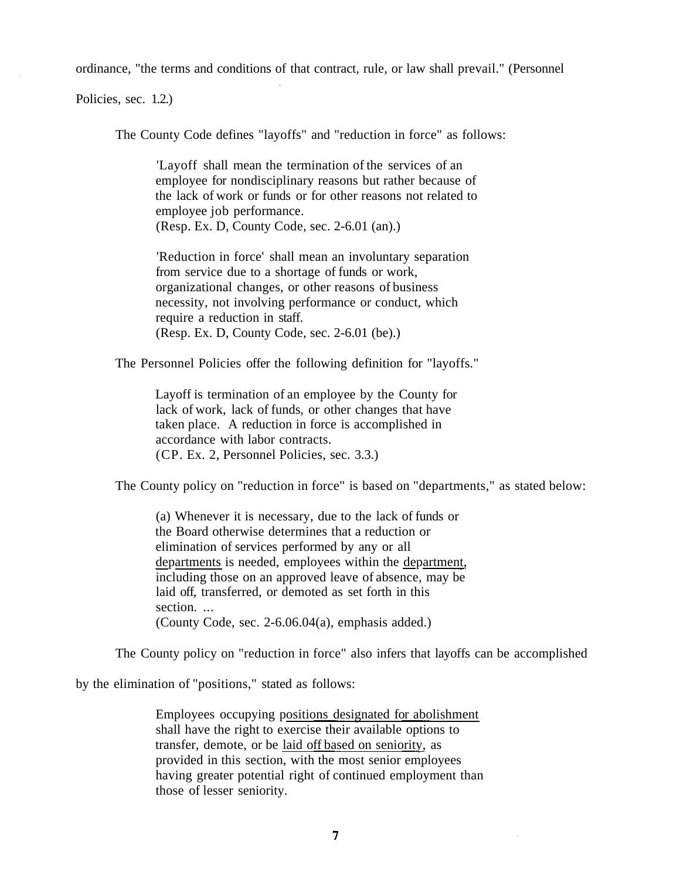ordinance, "the terms and conditions of that contract, rule, or law shall prevail." (Personnel

Policies, sec. 1.2.)

The County Code defines "layoffs" and "reduction in force" as follows:

'Layoff shall mean the termination of the services of an employee for nondisciplinary reasons but rather because of the lack of work or funds or for other reasons not related to employee job performance. (Resp. Ex. D, County Code, sec. 2-6.01 (an).)

'Reduction in force' shall mean an involuntary separation from service due to a shortage of funds or work, organizational changes, or other reasons of business necessity, not involving performance or conduct, which require a reduction in staff. (Resp. Ex. D, County Code, sec. 2-6.01 (be).)

The Personnel Policies offer the following definition for "layoffs."

Layoff is termination of an employee by the County for lack of work, lack of funds, or other changes that have taken place. A reduction in force is accomplished in accordance with labor contracts. (CP. Ex. 2, Personnel Policies, sec. 3.3.)

The County policy on "reduction in force" is based on "departments," as stated below:

including those on an approved leave of absence, may be (a) Whenever it is necessary, due to the lack of funds or the Board otherwise determines that a reduction or elimination of services performed by any or all departments is needed, employees within the department, laid off, transferred, or demoted as set forth in this section. (County Code, sec. 2-6.06.04(a), emphasis added.)

The County policy on "reduction in force" also infers that layoffs can be accomplished

by the elimination of "positions," stated as follows:

Employees occupying positions designated for abolishment shall have the right to exercise their available options to transfer, demote, or be laid off based on seniority, as provided in this section, with the most senior employees having greater potential right of continued employment than those of lesser seniority.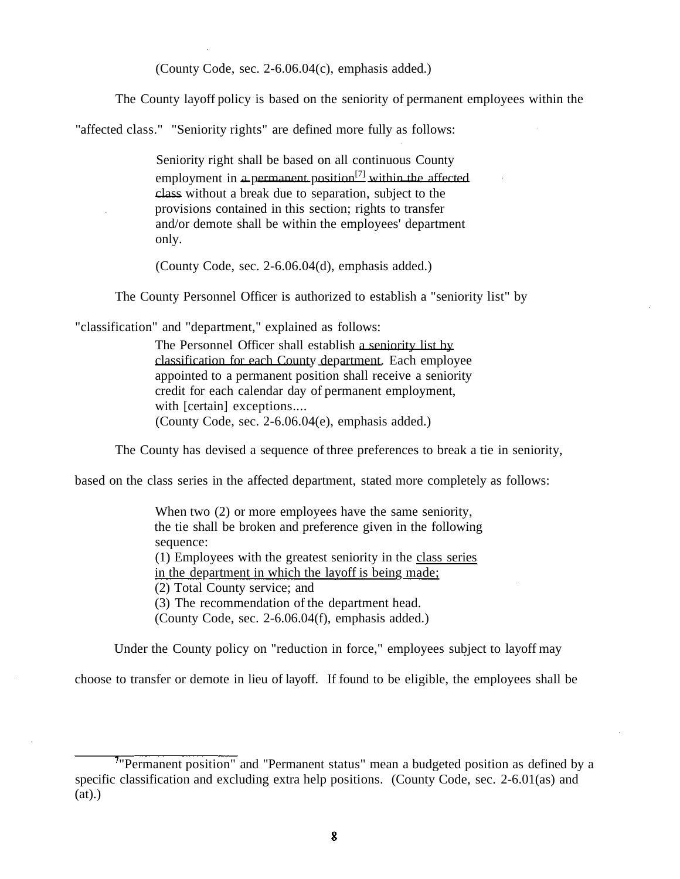(County Code, sec. 2-6.06.04(c), emphasis added.)

The County layoff policy is based on the seniority of permanent employees within the

"affected class." "Seniority rights" are defined more fully as follows:

Seniority right shall be based on all continuous County employment in a permanent position<sup>[7]</sup> within the affected class without a break due to separation, subject to the provisions contained in this section; rights to transfer and/or demote shall be within the employees' department only.

(County Code, sec. 2-6.06.04(d), emphasis added.)

The County Personnel Officer is authorized to establish a "seniority list" by

"classification" and "department," explained as follows:

The Personnel Officer shall establish a seniority list by classification for each County department. Each employee appointed to a permanent position shall receive a seniority credit for each calendar day of permanent employment, with [certain] exceptions.... (County Code, sec. 2-6.06.04(e), emphasis added.)

The County has devised a sequence of three preferences to break a tie in seniority,

based on the class series in the affected department, stated more completely as follows:

When two  $(2)$  or more employees have the same seniority, the tie shall be broken and preference given in the following sequence: (1) Employees with the greatest seniority in the class series in the department in which the layoff is being made; (2) Total County service; and (3) The recommendation of the department head. (County Code, sec. 2-6.06.04(f), emphasis added.)

Under the County policy on "reduction in force," employees subject to layoff may

choose to transfer or demote in lieu of layoff. If found to be eligible, the employees shall be

<sup>&</sup>lt;sup>7</sup>"Permanent position" and "Permanent status" mean a budgeted position as defined by a specific classification and excluding extra help positions. (County Code, sec. 2-6.01(as) and  $(at)$ .)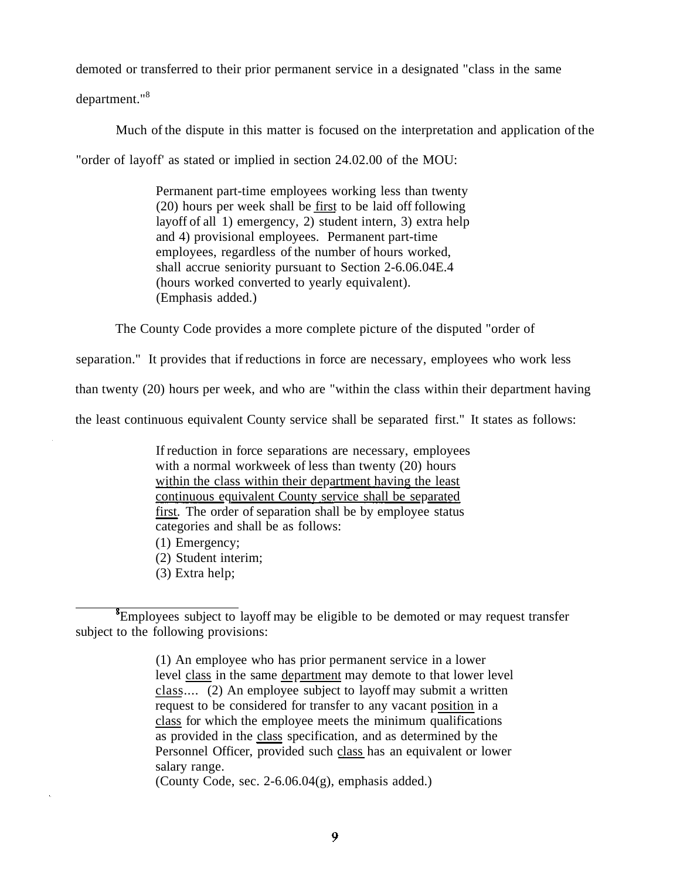demoted or transferred to their prior permanent service in a designated "class in the same

department."<sup>8</sup>

Much of the dispute in this matter is focused on the interpretation and application of the

"order of layoff' as stated or implied in section [24.02.00](https://24.02.00) of the MOU:

Permanent part-time employees working less than twenty (20) hours per week shall be first to be laid off following layoff of all 1) emergency, 2) student intern, 3) extra help and 4) provisional employees. Permanent part-time employees, regardless of the number of hours worked, shall accrue seniority pursuant to Section 2-6.06.04E.4 (hours worked converted to yearly equivalent). (Emphasis added.)

The County Code provides a more complete picture of the disputed "order of

separation." It provides that if reductions in force are necessary, employees who work less

than twenty (20) hours per week, and who are "within the class within their department having

the least continuous equivalent County service shall be separated first." It states as follows:

If reduction in force separations are necessary, employees with a normal workweek of less than twenty (20) hours within the class within their department having the least continuous equivalent County service shall be separated first. The order of separation shall be by employee status categories and shall be as follows:

(1) Emergency;

(2) Student interim;

(3) Extra help;

(1) An employee who has prior permanent service in a lower level class in the same department may demote to that lower level class.... (2) An employee subject to layoff may submit a written request to be considered for transfer to any vacant position in a class for which the employee meets the minimum qualifications as provided in the class specification, and as determined by the Personnel Officer, provided such class has an equivalent or lower salary range.

(County Code, sec. 2-6.06.04(g), emphasis added.)

<sup>&</sup>lt;sup>8</sup>Employees subject to layoff may be eligible to be demoted or may request transfer subject to the following provisions: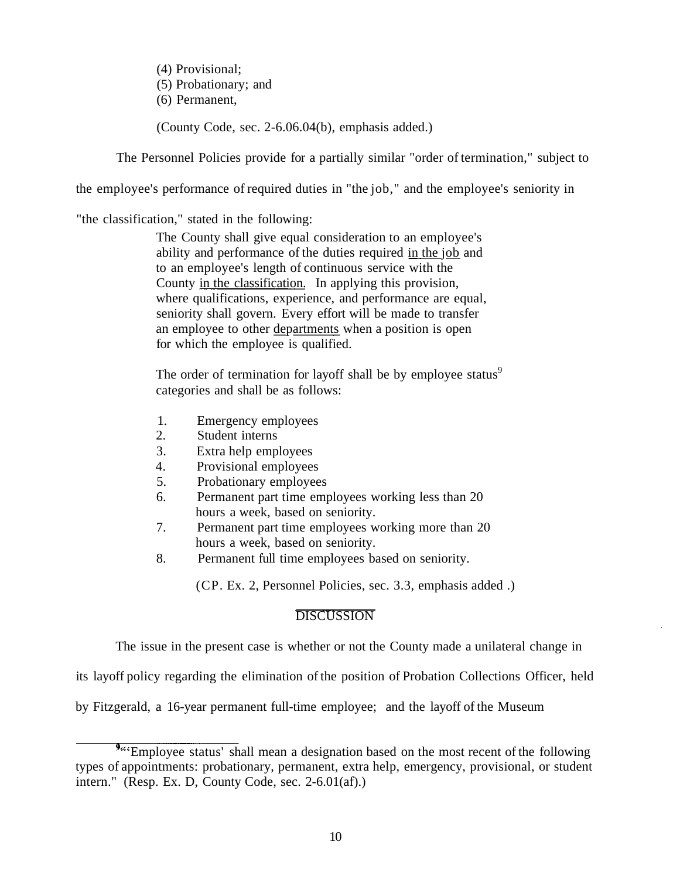(4) Provisional; (5) Probationary; and (6) Permanent,

(County Code, sec. 2-6.06.04(b), emphasis added.)

The Personnel Policies provide for a partially similar "order of termination," subject to

the employee's performance of required duties in "the job," and the employee's seniority in

"the classification," stated in the following:

The County shall give equal consideration to an employee's ability and performance of the duties required in the job and to an employee's length of continuous service with the County in the classification. In applying this provision, where qualifications, experience, and performance are equal, seniority shall govern. Every effort will be made to transfer an employee to other <u>departments</u> when a position is open for which the employee is qualified.

The order of termination for layoff shall be by employee status $\delta$ categories and shall be as follows:

- 1. Emergency employees
- 2. Student interns
- 3. Extra help employees
- 4. Provisional employees
- 5. Probationary employees
- 6. Permanent part time employees working less than 20 hours a week, based on seniority.
- 7. Permanent part time employees working more than 20 hours a week, based on seniority.
- 8. Permanent full time employees based on seniority.

(CP. Ex. 2, Personnel Policies, sec. 3.3, emphasis added .)

# **DISCUSSION**

The issue in the present case is whether or not the County made a unilateral change in

its layoff policy regarding the elimination of the position of Probation Collections Officer, held

by Fitzgerald, a 16-year permanent full-time employee; and the layoff of the Museum

<sup>&</sup>lt;sup>9</sup> Employee status' shall mean a designation based on the most recent of the following types of appointments: probationary, permanent, extra help, emergency, provisional, or student intern." (Resp. Ex. D, County Code, sec. 2-6.01(af).)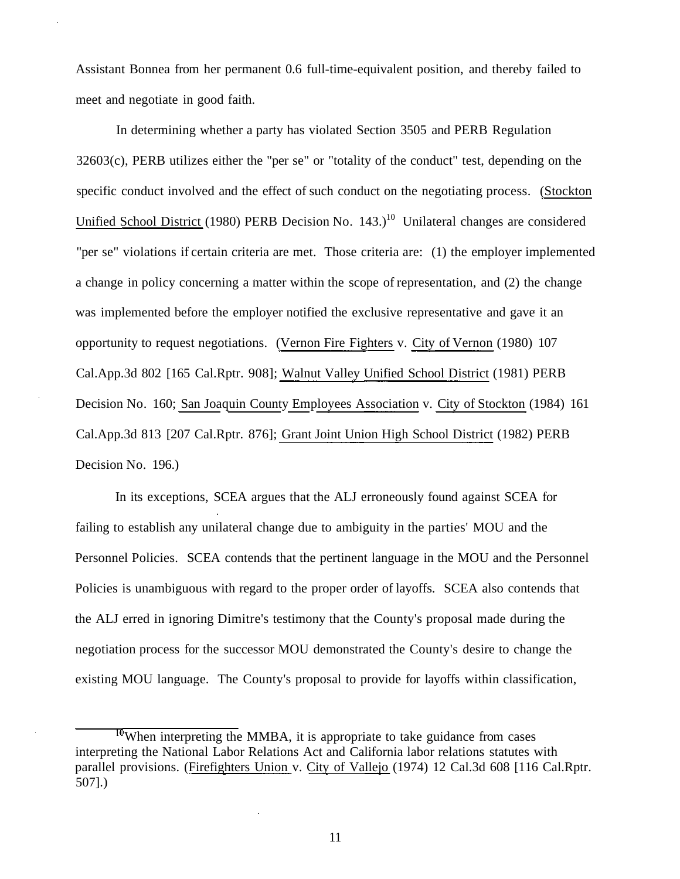Assistant Bonnea from her permanent 0.6 full-time-equivalent position, and thereby failed to meet and negotiate in good faith.

In determining whether a party has violated Section 3505 and PERB Regulation  $32603(c)$ , PERB utilizes either the "per se" or "totality of the conduct" test, depending on the specific conduct involved and the effect of such conduct on the negotiating process. (Stockton Unified School District (1980) PERB Decision No.  $143.$ <sup>10</sup> Unilateral changes are considered "per se" violations if certain criteria are met. Those criteria are: (1) the employer implemented a change in policy concerning a matter within the scope of representation, and (2) the change was implemented before the employer notified the exclusive representative and gave it an opportunity to request negotiations. (Vernon Fire Fighters v. City of Vernon (1980) 107 [Cal.App.3d](https://Cal.App.3d) 802 [165 Cal.Rptr. 908]; Walnut Valley Unified School District (1981) PERB Decision No. 160; San Joaquin County Employees Association v. City of Stockton (1984) 161 [Cal.App.3d](https://Cal.App.3d) 813 [207 Cal.Rptr. 876]; Grant Joint Union High School District (1982) PERB Decision No. 196.)

In its exceptions, SCEA argues that the ALJ erroneously found against SCEA for failing to establish any unilateral change due to ambiguity in the parties' MOU and the Personnel Policies. SCEA contends that the pertinent language in the MOU and the Personnel Policies is unambiguous with regard to the proper order of layoffs. SCEA also contends that the ALJ erred in ignoring Dimitre's testimony that the County's proposal made during the negotiation process for the successor MOU demonstrated the County's desire to change the existing MOU language. The County's proposal to provide for layoffs within classification,

 $T<sup>0</sup>$ When interpreting the MMBA, it is appropriate to take guidance from cases interpreting the National Labor Relations Act and California labor relations statutes with parallel provisions. (*Firefighters Union v. City of Vallejo* (1974) 12 Cal.3d 608 [116 Cal.Rptr. 507].)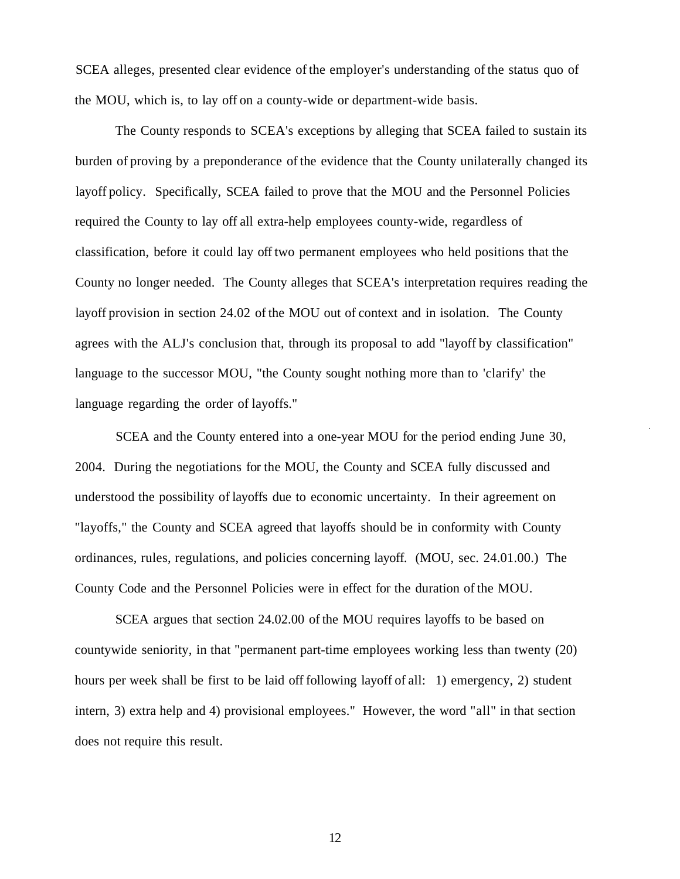SCEA alleges, presented clear evidence of the employer's understanding of the status quo of the MOU, which is, to lay off on a county-wide or department-wide basis.

The County responds to SCEA's exceptions by alleging that SCEA failed to sustain its burden of proving by a preponderance of the evidence that the County unilaterally changed its layoff policy. Specifically, SCEA failed to prove that the MOU and the Personnel Policies required the County to lay off all extra-help employees county-wide, regardless of classification, before it could lay off two permanent employees who held positions that the County no longer needed. The County alleges that SCEA's interpretation requires reading the layoff provision in section 24.02 of the MOU out of context and in isolation. The County agrees with the ALJ's conclusion that, through its proposal to add "layoff by classification" language to the successor MOU, "the County sought nothing more than to 'clarify' the language regarding the order of layoffs."

SCEA and the County entered into a one-year MOU for the period ending June 30, 2004. During the negotiations for the MOU, the County and SCEA fully discussed and understood the possibility of layoffs due to economic uncertainty. In their agreement on "layoffs," the County and SCEA agreed that layoffs should be in conformity with County ordinances, rules, regulations, and policies concerning layoff. (MOU, sec. [24.01.00](https://24.01.00).) The County Code and the Personnel Policies were in effect for the duration of the MOU.

SCEA argues that section [24.02.00](https://24.02.00) of the MOU requires layoffs to be based on countywide seniority, in that "permanent part-time employees working less than twenty (20) hours per week shall be first to be laid off following layoff of all: 1) emergency, 2) student intern, 3) extra help and 4) provisional employees." However, the word "all" in that section does not require this result.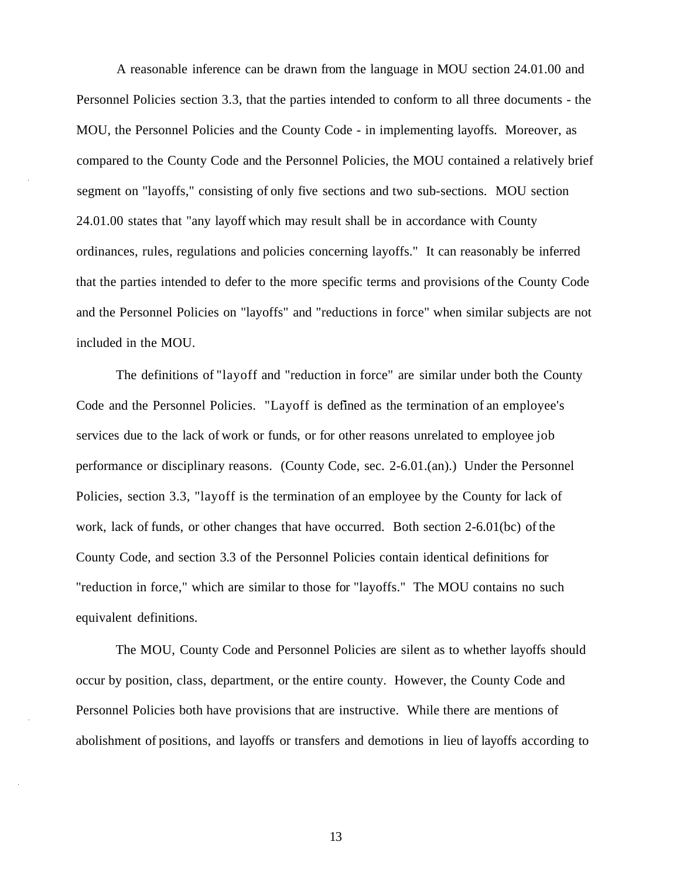A reasonable inference can be drawn from the language in MOU section [24.01.00](https://24.01.00) and Personnel Policies section 3.3, that the parties intended to conform to all three documents - the MOU, the Personnel Policies and the County Code - in implementing layoffs. Moreover, as compared to the County Code and the Personnel Policies, the MOU contained a relatively brief segment on "layoffs," consisting of only five sections and two sub-sections. MOU section [24.01.00](https://24.01.00) states that "any layoff which may result shall be in accordance with County ordinances, rules, regulations and policies concerning layoffs." It can reasonably be inferred that the parties intended to defer to the more specific terms and provisions of the County Code and the Personnel Policies on "layoffs" and "reductions in force" when similar subjects are not included in the MOU.

The definitions of "layoff and "reduction in force" are similar under both the County Code and the Personnel Policies. "Layoff is defined as the termination of an employee's services due to the lack of work or funds, or for other reasons unrelated to employee job performance or disciplinary reasons. (County Code, sec. 2-6.01.(an).) Under the Personnel Policies, section 3.3, "layoff is the termination of an employee by the County for lack of work, lack of funds, or other changes that have occurred. Both section 2-6.01(bc) of the County Code, and section 3.3 of the Personnel Policies contain identical definitions for "reduction in force," which are similar to those for "layoffs." The MOU contains no such equivalent definitions.

The MOU, County Code and Personnel Policies are silent as to whether layoffs should occur by position, class, department, or the entire county. However, the County Code and Personnel Policies both have provisions that are instructive. While there are mentions of abolishment of positions, and layoffs or transfers and demotions in lieu of layoffs according to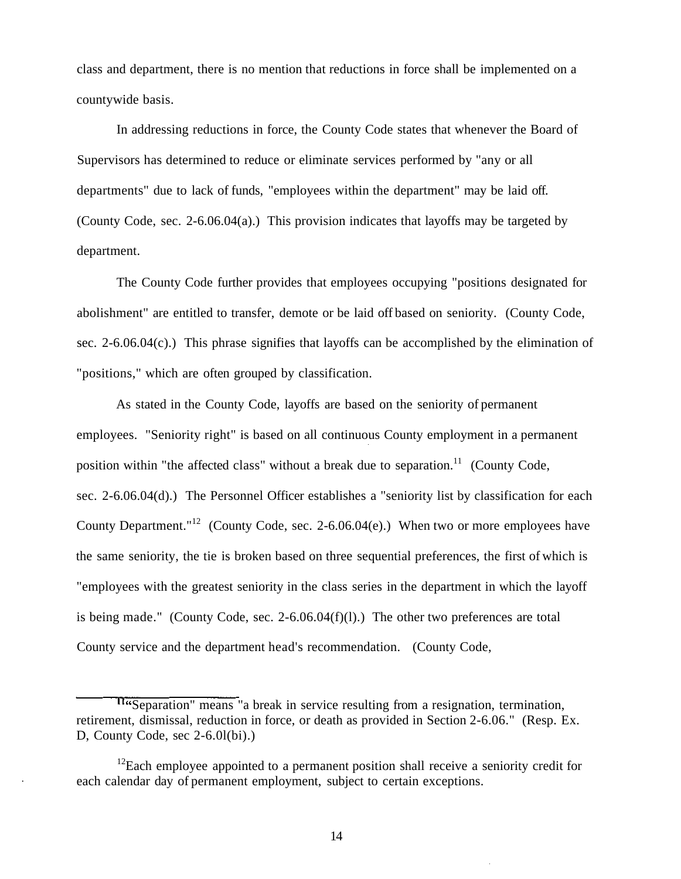class and department, there is no mention that reductions in force shall be implemented on a countywide basis.

In addressing reductions in force, the County Code states that whenever the Board of Supervisors has determined to reduce or eliminate services performed by "any or all departments" due to lack of funds, "employees within the department" may be laid off. (County Code, sec. 2-6.06.04(a).) This provision indicates that layoffs may be targeted by department.

The County Code further provides that employees occupying "positions designated for abolishment" are entitled to transfer, demote or be laid off based on seniority. (County Code, sec. 2-6.06.04(c).) This phrase signifies that layoffs can be accomplished by the elimination of "positions," which are often grouped by classification.

As stated in the County Code, layoffs are based on the seniority of permanent employees. "Seniority right" is based on all continuous County employment in a permanent position within "the affected class" without a break due to [separation.](https://separation.11)<sup>11</sup> (County Code, sec. 2-6.06.04(d).) The Personnel Officer establishes a "seniority list by classification for each County Department."<sup>12</sup> (County Code, sec. 2-6.06.04(e).) When two or more employees have the same seniority, the tie is broken based on three sequential preferences, the first of which is "employees with the greatest seniority in the class series in the department in which the layoff is being made." (County Code, sec.  $2-6.06.04(f)(l)$ .) The other two preferences are total County service and the department head's recommendation. (County Code,

Tasseparation" means "a break in service resulting from a resignation, termination, retirement, dismissal, reduction in force, or death as provided in Section 2-6.06." (Resp. Ex. D, County Code, sec 2-6.0l(bi).)

 $12$ Each employee appointed to a permanent position shall receive a seniority credit for each calendar day of permanent employment, subject to certain exceptions.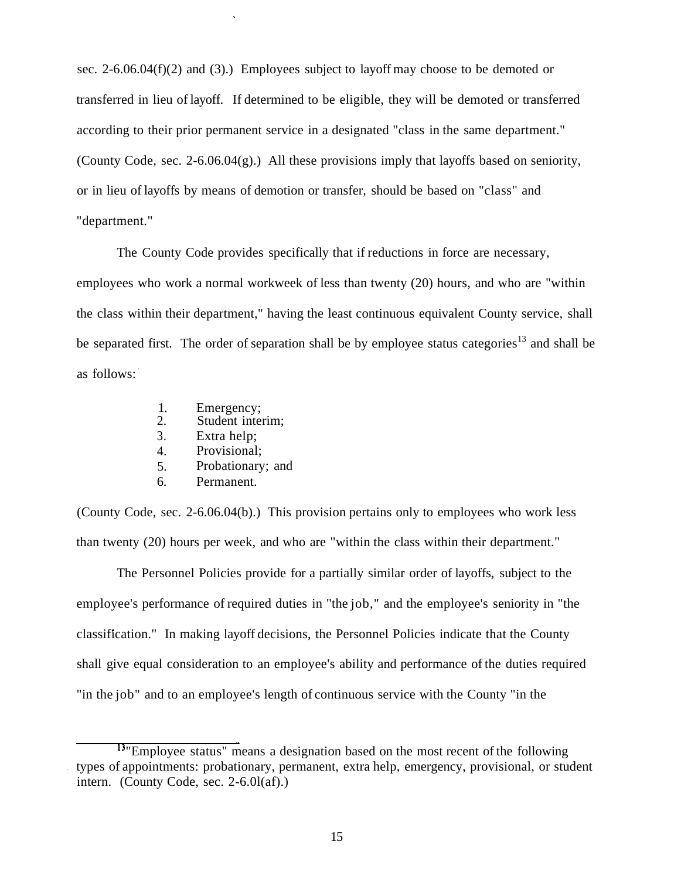sec. 2-6.06.04(f)(2) and (3).) Employees subject to layoff may choose to be demoted or transferred in lieu of layoff. If determined to be eligible, they will be demoted or transferred according to their prior permanent service in a designated "class in the same department." (County Code, sec. 2-6.06.04(g).) All these provisions imply that layoffs based on seniority, or in lieu of layoffs by means of demotion or transfer, should be based on "class" and "department."

The County Code provides specifically that if reductions in force are necessary, employees who work a normal workweek of less than twenty (20) hours, and who are "within the class within their department," having the least continuous equivalent County service, shall be separated first. The order of separation shall be by employee status categories<sup>13</sup> and shall be as follows:

- 1. Emergency;<br>2. Student inter
- Student interim;
- 3. Extra help;
- 4. Provisional;
- 5. Probationary; and
- 6. Permanent.

(County Code, sec. 2-6.06.04(b).) This provision pertains only to employees who work less than twenty (20) hours per week, and who are "within the class within their department."

The Personnel Policies provide for a partially similar order of layoffs, subject to the employee's performance of required duties in "the job," and the employee's seniority in "the classification." In making layoff decisions, the Personnel Policies indicate that the County shall give equal consideration to an employee's ability and performance of the duties required "in the job" and to an employee's length of continuous service with the County "in the

<sup>&</sup>lt;sup>13</sup> "Employee status" means a designation based on the most recent of the following types of appointments: probationary, permanent, extra help, emergency, provisional, or student intern. (County Code, sec. 2-6.0l(af).)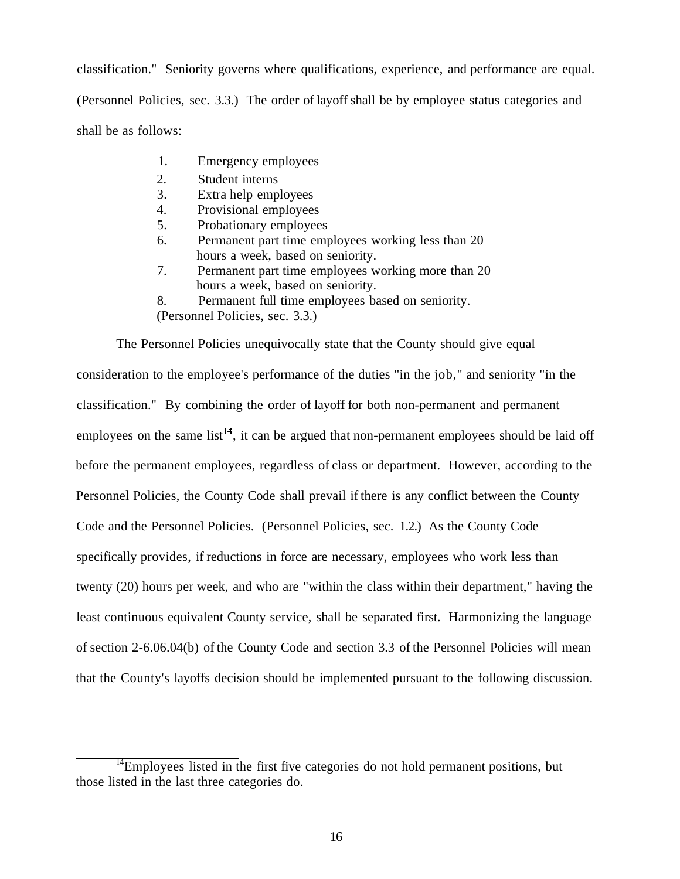classification." Seniority governs where qualifications, experience, and performance are equal. (Personnel Policies, sec. 3.3.) The order of layoff shall be by employee status categories and shall be as follows:

- 1. Emergency employees
- 2. Student interns
- 3. Extra help employees
- 4. Provisional employees
- 5. Probationary employees
- 6. Permanent part time employees working less than 20 hours a week, based on seniority.
- 7. Permanent part time employees working more than 20 hours a week, based on seniority.
- 8. Permanent full time employees based on seniority.

(Personnel Policies, sec. 3.3.)

The Personnel Policies unequivocally state that the County should give equal consideration to the employee's performance of the duties "in the job," and seniority "in the classification." By combining the order of layoff for both non-permanent and permanent employees on the same list<sup>14</sup>, it can be argued that non-permanent employees should be laid off before the permanent employees, regardless of class or department. However, according to the Personnel Policies, the County Code shall prevail if there is any conflict between the County Code and the Personnel Policies. (Personnel Policies, sec. 1.2.) As the County Code specifically provides, if reductions in force are necessary, employees who work less than twenty (20) hours per week, and who are "within the class within their department," having the least continuous equivalent County service, shall be separated first. Harmonizing the language of section 2-6.06.04(b) of the County Code and section 3.3 of the Personnel Policies will mean that the County's layoffs decision should be implemented pursuant to the following discussion.

<sup>&</sup>lt;sup>14</sup>Employees listed in the first five categories do not hold permanent positions, but those listed in the last three categories do.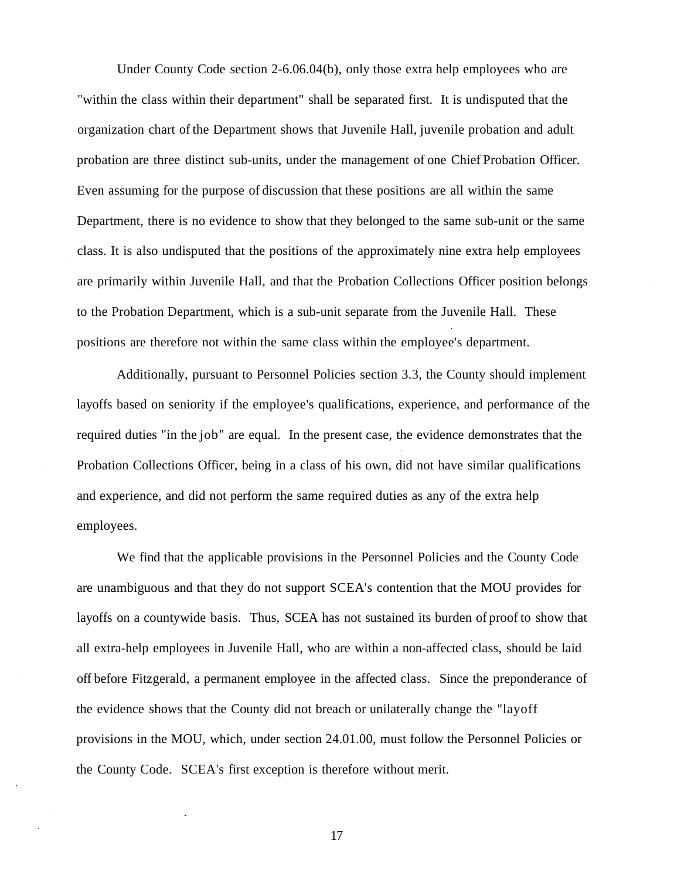Under County Code section 2-6.06.04(b), only those extra help employees who are "within the class within their department" shall be separated first. It is undisputed that the organization chart of the Department shows that Juvenile Hall, juvenile probation and adult probation are three distinct sub-units, under the management of one Chief Probation Officer. Even assuming for the purpose of discussion that these positions are all within the same Department, there is no evidence to show that they belonged to the same sub-unit or the same class. It is also undisputed that the positions of the approximately nine extra help employees are primarily within Juvenile Hall, and that the Probation Collections Officer position belongs to the Probation Department, which is a sub-unit separate from the Juvenile Hall. These positions are therefore not within the same class within the employee's department.

Additionally, pursuant to Personnel Policies section 3.3, the County should implement layoffs based on seniority if the employee's qualifications, experience, and performance of the required duties "in the job" are equal. In the present case, the evidence demonstrates that the Probation Collections Officer, being in a class of his own, did not have similar qualifications and experience, and did not perform the same required duties as any of the extra help employees.

We find that the applicable provisions in the Personnel Policies and the County Code are unambiguous and that they do not support SCEA's contention that the MOU provides for layoffs on a countywide basis. Thus, SCEA has not sustained its burden of proof to show that all extra-help employees in Juvenile Hall, who are within a non-affected class, should be laid off before Fitzgerald, a permanent employee in the affected class. Since the preponderance of the evidence shows that the County did not breach or unilaterally change the "layoff provisions in the MOU, which, under section [24.01.00](https://24.01.00), must follow the Personnel Policies or the County Code. SCEA's first exception is therefore without merit.